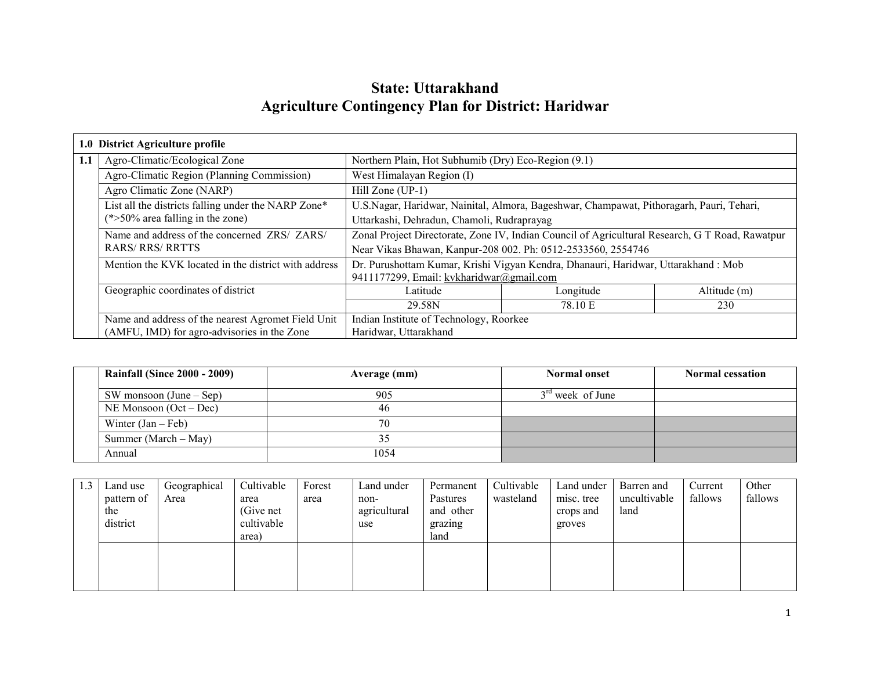# State: Uttarakhand Agriculture Contingency Plan for District: Haridwar

|     | 1.0 District Agriculture profile                     |                                                                                                 |                                                                                   |              |  |  |
|-----|------------------------------------------------------|-------------------------------------------------------------------------------------------------|-----------------------------------------------------------------------------------|--------------|--|--|
| 1.1 | Agro-Climatic/Ecological Zone                        |                                                                                                 | Northern Plain, Hot Subhumib (Dry) Eco-Region (9.1)                               |              |  |  |
|     | Agro-Climatic Region (Planning Commission)           | West Himalayan Region (I)                                                                       |                                                                                   |              |  |  |
|     | Agro Climatic Zone (NARP)                            | Hill Zone (UP-1)                                                                                |                                                                                   |              |  |  |
|     | List all the districts falling under the NARP Zone*  | U.S.Nagar, Haridwar, Nainital, Almora, Bageshwar, Champawat, Pithoragarh, Pauri, Tehari,        |                                                                                   |              |  |  |
|     | $(*>50\%$ area falling in the zone)                  | Uttarkashi, Dehradun, Chamoli, Rudraprayag                                                      |                                                                                   |              |  |  |
|     | Name and address of the concerned ZRS/ ZARS/         | Zonal Project Directorate, Zone IV, Indian Council of Agricultural Research, G T Road, Rawatpur |                                                                                   |              |  |  |
|     | <b>RARS/RRS/RRTTS</b>                                | Near Vikas Bhawan, Kanpur-208 002. Ph: 0512-2533560, 2554746                                    |                                                                                   |              |  |  |
|     | Mention the KVK located in the district with address |                                                                                                 | Dr. Purushottam Kumar, Krishi Vigyan Kendra, Dhanauri, Haridwar, Uttarakhand: Mob |              |  |  |
|     |                                                      | 9411177299, Email: kvkharidwar@gmail.com                                                        |                                                                                   |              |  |  |
|     | Geographic coordinates of district                   | Latitude                                                                                        | Longitude                                                                         | Altitude (m) |  |  |
|     |                                                      | 29.58N                                                                                          | 78.10 E                                                                           | 230          |  |  |
|     | Name and address of the nearest Agromet Field Unit   |                                                                                                 | Indian Institute of Technology, Roorkee                                           |              |  |  |
|     | (AMFU, IMD) for agro-advisories in the Zone          | Haridwar, Uttarakhand                                                                           |                                                                                   |              |  |  |

| <b>Rainfall (Since 2000 - 2009)</b> | Average (mm) | <b>Normal onset</b> | <b>Normal cessation</b> |
|-------------------------------------|--------------|---------------------|-------------------------|
| SW monsoon $(June - Sep)$           | 905          | $3rd$ week of June  |                         |
| NE Monsoon $(Oct - Dec)$            | 46           |                     |                         |
| Winter $(Jan - Feb)$                | 70           |                     |                         |
| Summer (March $-$ May)              |              |                     |                         |
| Annual                              | 1054         |                     |                         |

| 1.3 | Land use   | Geographical | Cultivable | Forest | Land under   | Permanent | Cultivable | Land under | Barren and   | Current | Other   |
|-----|------------|--------------|------------|--------|--------------|-----------|------------|------------|--------------|---------|---------|
|     | pattern of | Area         | area       | area   | non-         | Pastures  | wasteland  | misc. tree | uncultivable | fallows | fallows |
|     | the        |              | (Give net) |        | agricultural | and other |            | crops and  | land         |         |         |
|     | district   |              | cultivable |        | use          | grazing   |            | groves     |              |         |         |
|     |            |              | area)      |        |              | land      |            |            |              |         |         |
|     |            |              |            |        |              |           |            |            |              |         |         |
|     |            |              |            |        |              |           |            |            |              |         |         |
|     |            |              |            |        |              |           |            |            |              |         |         |
|     |            |              |            |        |              |           |            |            |              |         |         |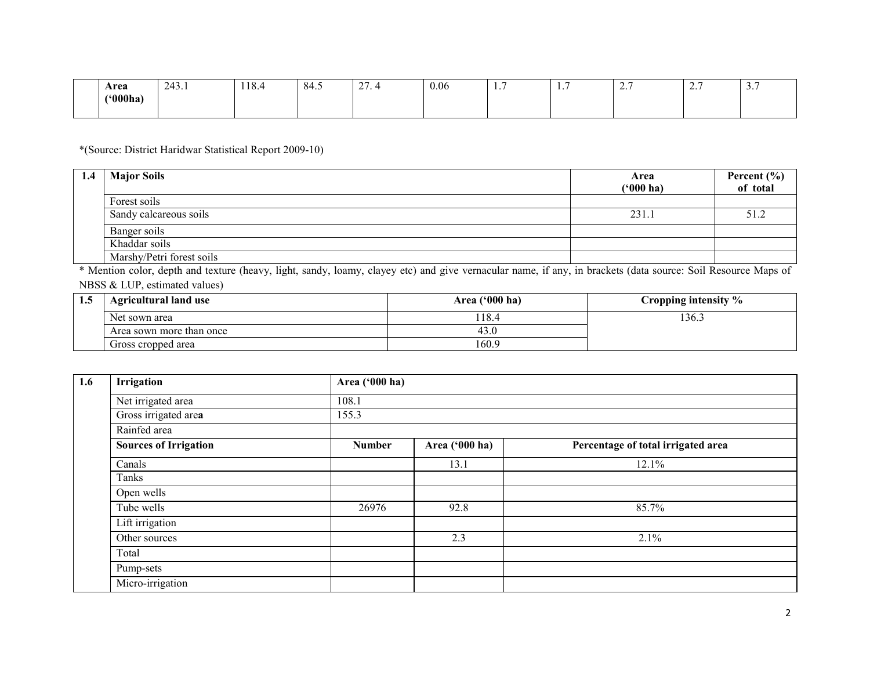| Area                     | $\sim$ $\sim$<br>۰ ته<br>$2 - 7$ | 10<br>118.4 | -84.5 | $\sim$<br>$\sim$ $\sim$ $\sim$ | 0.06 | . | . . | -<br><u>.</u> | $\overline{\phantom{a}}$ | $\overline{\phantom{a}}$<br>، ب |
|--------------------------|----------------------------------|-------------|-------|--------------------------------|------|---|-----|---------------|--------------------------|---------------------------------|
| $^{\prime\prime}$ 000ha) |                                  |             |       |                                |      |   |     |               |                          |                                 |
|                          |                                  |             |       |                                |      |   |     |               |                          |                                 |

\*(Source: District Haridwar Statistical Report 2009-10)

| 1.4 | <b>Major Soils</b>        | Area<br>$(900)$ ha) | Percent (%)<br>of total |
|-----|---------------------------|---------------------|-------------------------|
|     | Forest soils              |                     |                         |
|     | Sandy calcareous soils    | 231.1               |                         |
|     | Banger soils              |                     |                         |
|     | Khaddar soils             |                     |                         |
|     | Marshy/Petri forest soils |                     |                         |

 \* Mention color, depth and texture (heavy, light, sandy, loamy, clayey etc) and give vernacular name, if any, in brackets (data source: Soil Resource Maps of NBSS & LUP, estimated values)

| 1.5 | <b>Agricultural land use</b> | Area $('000 ha)$ | Cropping intensity % |
|-----|------------------------------|------------------|----------------------|
|     | Net sown area                | 18.4             | 136.1                |
|     | Area sown more than once     | 43.U             |                      |
|     | Gross cropped area           | 160.9            |                      |

| 1.6 | Irrigation                   | Area ('000 ha) |                |                                    |
|-----|------------------------------|----------------|----------------|------------------------------------|
|     | Net irrigated area           | 108.1          |                |                                    |
|     | Gross irrigated area         | 155.3          |                |                                    |
|     | Rainfed area                 |                |                |                                    |
|     | <b>Sources of Irrigation</b> | <b>Number</b>  | Area ('000 ha) | Percentage of total irrigated area |
|     | Canals                       |                | 13.1           | 12.1%                              |
|     | Tanks                        |                |                |                                    |
|     | Open wells                   |                |                |                                    |
|     | Tube wells                   | 26976          | 92.8           | 85.7%                              |
|     | Lift irrigation              |                |                |                                    |
|     | Other sources                |                | 2.3            | 2.1%                               |
|     | Total                        |                |                |                                    |
|     | Pump-sets                    |                |                |                                    |
|     | Micro-irrigation             |                |                |                                    |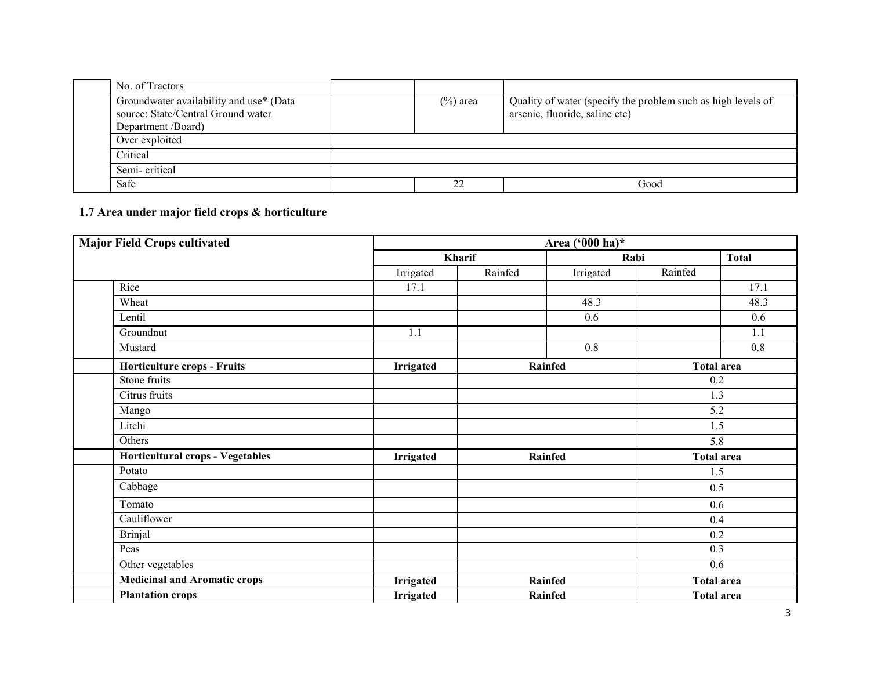| No. of Tractors                                                                                     |             |                                                                                                |
|-----------------------------------------------------------------------------------------------------|-------------|------------------------------------------------------------------------------------------------|
| Groundwater availability and use* (Data<br>source: State/Central Ground water<br>Department /Board) | $(\%)$ area | Quality of water (specify the problem such as high levels of<br>arsenic, fluoride, saline etc) |
| Over exploited                                                                                      |             |                                                                                                |
| Critical                                                                                            |             |                                                                                                |
| Semi-critical                                                                                       |             |                                                                                                |
| Safe                                                                                                | 22          | Good                                                                                           |

### 1.7 Area under major field crops & horticulture

| <b>Major Field Crops cultivated</b>     |                  | Area ('000 ha)* |                |         |                   |  |  |  |
|-----------------------------------------|------------------|-----------------|----------------|---------|-------------------|--|--|--|
|                                         |                  | Kharif          |                | Rabi    | <b>Total</b>      |  |  |  |
|                                         | Irrigated        | Rainfed         | Irrigated      | Rainfed |                   |  |  |  |
| Rice                                    | 17.1             |                 |                |         | 17.1              |  |  |  |
| Wheat                                   |                  |                 | 48.3           |         | 48.3              |  |  |  |
| Lentil                                  |                  |                 | 0.6            |         | 0.6               |  |  |  |
| Groundnut                               | 1.1              |                 |                |         | 1.1               |  |  |  |
| Mustard                                 |                  |                 | 0.8            |         | 0.8               |  |  |  |
| Horticulture crops - Fruits             | Irrigated        |                 | <b>Rainfed</b> |         | <b>Total area</b> |  |  |  |
| Stone fruits                            |                  |                 |                |         | 0.2               |  |  |  |
| Citrus fruits                           |                  |                 |                |         | 1.3               |  |  |  |
| Mango                                   |                  |                 |                |         | 5.2               |  |  |  |
| Litchi                                  |                  |                 |                |         | 1.5               |  |  |  |
| Others                                  |                  |                 |                |         | 5.8               |  |  |  |
| <b>Horticultural crops - Vegetables</b> | Irrigated        |                 | <b>Rainfed</b> |         | <b>Total area</b> |  |  |  |
| Potato                                  |                  |                 |                |         | 1.5               |  |  |  |
| Cabbage                                 |                  |                 |                |         | 0.5               |  |  |  |
| Tomato                                  |                  |                 |                |         | 0.6               |  |  |  |
| Cauliflower                             |                  |                 |                |         | 0.4               |  |  |  |
| <b>Brinjal</b>                          |                  |                 |                |         | 0.2               |  |  |  |
| Peas                                    |                  |                 |                |         | 0.3               |  |  |  |
| Other vegetables                        |                  |                 |                |         | 0.6               |  |  |  |
| <b>Medicinal and Aromatic crops</b>     | <b>Irrigated</b> |                 | Rainfed        |         | <b>Total area</b> |  |  |  |
| <b>Plantation crops</b>                 | <b>Irrigated</b> |                 | <b>Rainfed</b> |         | <b>Total area</b> |  |  |  |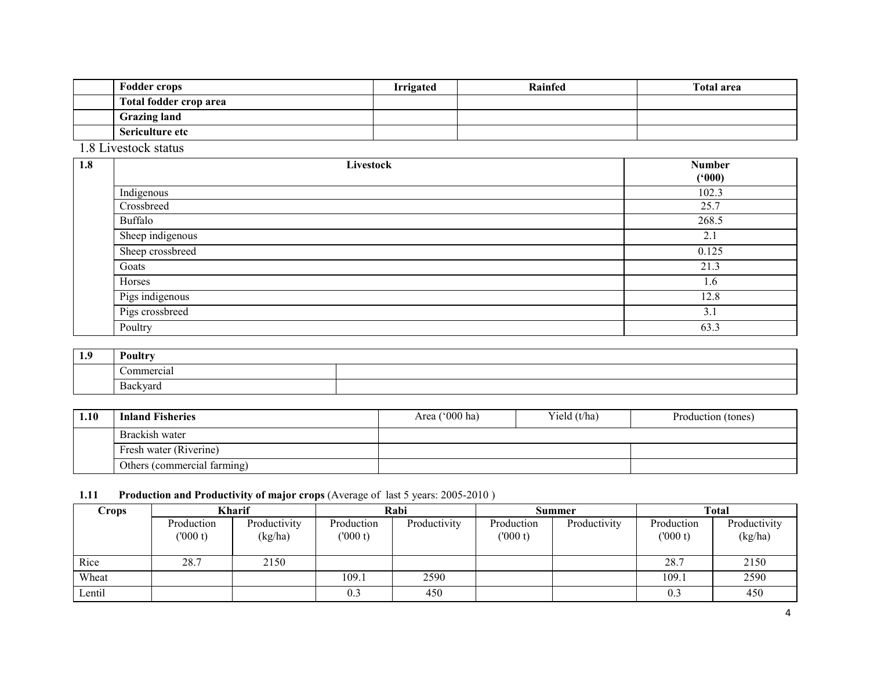| <b>Fodder crops</b>    | <b>Irrigated</b> | Rainfed | <b>Total area</b> |
|------------------------|------------------|---------|-------------------|
| Total fodder crop area |                  |         |                   |
| <b>Grazing land</b>    |                  |         |                   |
| Sericulture etc        |                  |         |                   |

1.8 Livestock status

| 1.8 | Livestock        | <b>Number</b><br>(000) |
|-----|------------------|------------------------|
|     | Indigenous       | 102.3                  |
|     | Crossbreed       | 25.7                   |
|     | <b>Buffalo</b>   | 268.5                  |
|     | Sheep indigenous | 2.1                    |
|     | Sheep crossbreed | 0.125                  |
|     | Goats            | 21.3                   |
|     | Horses           | 1.6                    |
|     | Pigs indigenous  | 12.8                   |
|     | Pigs crossbreed  | 3.1                    |
|     | Poultry          | 63.3                   |

| 1.9 | Poultry         |  |  |  |  |
|-----|-----------------|--|--|--|--|
|     | ╭<br>Commercial |  |  |  |  |
|     | Backyard        |  |  |  |  |

| 1.10 | <b>Inland Fisheries</b>     | Area $('000 ha)$ | Yield (t/ha) | Production (tones) |
|------|-----------------------------|------------------|--------------|--------------------|
|      | Brackish water              |                  |              |                    |
|      | Fresh water (Riverine)      |                  |              |                    |
|      | Others (commercial farming) |                  |              |                    |

#### **1.11** Production and Productivity of major crops (Average of last 5 years: 2005-2010)

| Crops  | <b>Kharif</b>          |                         | Rabi                  |              | Summer                |              | <b>Total</b>          |                         |
|--------|------------------------|-------------------------|-----------------------|--------------|-----------------------|--------------|-----------------------|-------------------------|
|        | Production<br>(1000 t) | Productivity<br>(kg/ha) | Production<br>(000 t) | Productivity | Production<br>(000 t) | Productivity | Production<br>(000 t) | Productivity<br>(kg/ha) |
| Rice   | 28.7                   | 2150                    |                       |              |                       |              | 28.7                  | 2150                    |
| Wheat  |                        |                         | 109.1                 | 2590         |                       |              | 109.1                 | 2590                    |
| Lentil |                        |                         | 0.3                   | 450          |                       |              | 0.3                   | 450                     |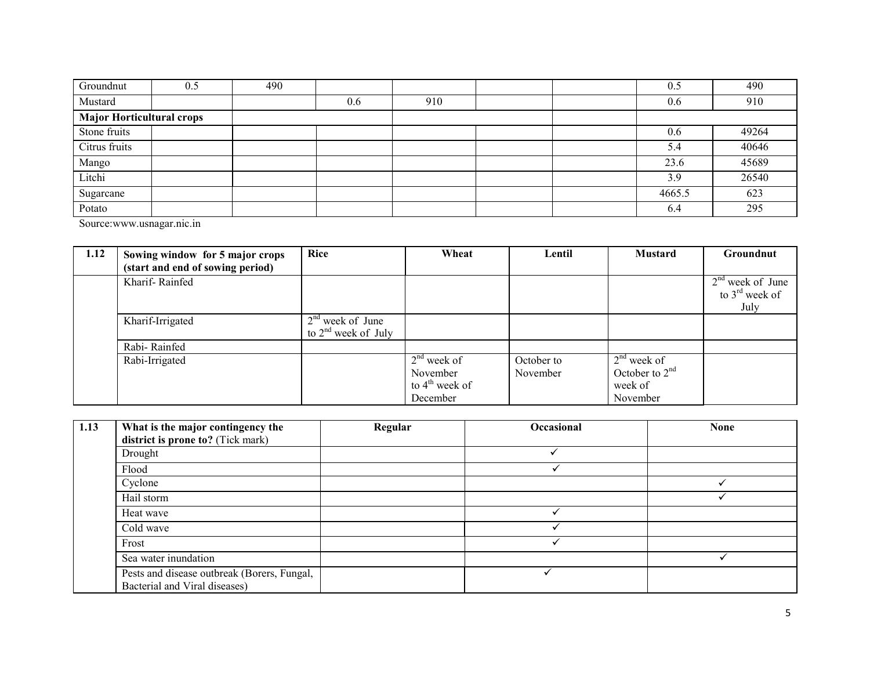| Groundnut                        | 0.5 | 490 |     |     |  | 0.5    | 490   |
|----------------------------------|-----|-----|-----|-----|--|--------|-------|
| Mustard                          |     |     | 0.6 | 910 |  | 0.6    | 910   |
| <b>Major Horticultural crops</b> |     |     |     |     |  |        |       |
| Stone fruits                     |     |     |     |     |  | 0.6    | 49264 |
| Citrus fruits                    |     |     |     |     |  | 5.4    | 40646 |
| Mango                            |     |     |     |     |  | 23.6   | 45689 |
| Litchi                           |     |     |     |     |  | 3.9    | 26540 |
| Sugarcane                        |     |     |     |     |  | 4665.5 | 623   |
| Potato                           |     |     |     |     |  | 6.4    | 295   |

Source:www.usnagar.nic.in

| 1.12 | Sowing window for 5 major crops  | <b>Rice</b>           | Wheat            | Lentil     | <b>Mustard</b>   | <b>Groundnut</b>           |
|------|----------------------------------|-----------------------|------------------|------------|------------------|----------------------------|
|      | (start and end of sowing period) |                       |                  |            |                  |                            |
|      | Kharif-Rainfed                   |                       |                  |            |                  | $2nd$ week of June         |
|      |                                  |                       |                  |            |                  | to $3^{\text{rd}}$ week of |
|      |                                  |                       |                  |            |                  | July                       |
|      | Kharif-Irrigated                 | $2nd$ week of June    |                  |            |                  |                            |
|      |                                  | to $2nd$ week of July |                  |            |                  |                            |
|      | Rabi-Rainfed                     |                       |                  |            |                  |                            |
|      | Rabi-Irrigated                   |                       | $2nd$ week of    | October to | $2nd$ week of    |                            |
|      |                                  |                       | November         | November   | October to $2nd$ |                            |
|      |                                  |                       | to $4th$ week of |            | week of          |                            |
|      |                                  |                       | December         |            | November         |                            |

| 1.13 | What is the major contingency the<br>district is prone to? (Tick mark)       | Regular | Occasional | <b>None</b> |
|------|------------------------------------------------------------------------------|---------|------------|-------------|
|      | Drought                                                                      |         |            |             |
|      | Flood                                                                        |         |            |             |
|      | Cyclone                                                                      |         |            |             |
|      | Hail storm                                                                   |         |            |             |
|      | Heat wave                                                                    |         |            |             |
|      | Cold wave                                                                    |         |            |             |
|      | Frost                                                                        |         |            |             |
|      | Sea water inundation                                                         |         |            |             |
|      | Pests and disease outbreak (Borers, Fungal,<br>Bacterial and Viral diseases) |         |            |             |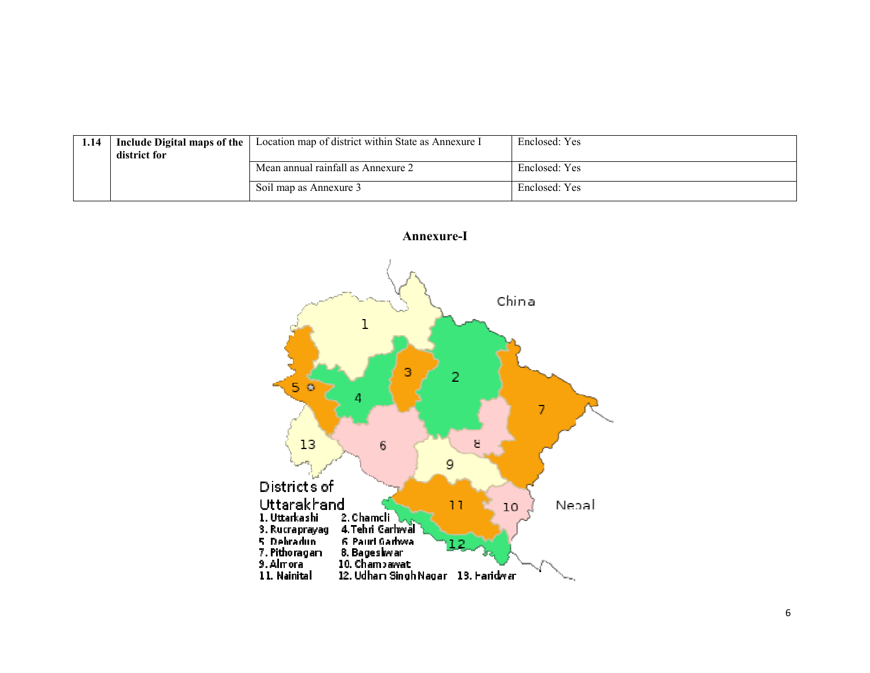| 1.14 | Include Digital maps of the<br>district for | Location map of district within State as Annexure I | Enclosed: Yes |
|------|---------------------------------------------|-----------------------------------------------------|---------------|
|      |                                             | Mean annual rainfall as Annexure 2                  | Enclosed: Yes |
|      |                                             | Soil map as Annexure 3                              | Enclosed: Yes |

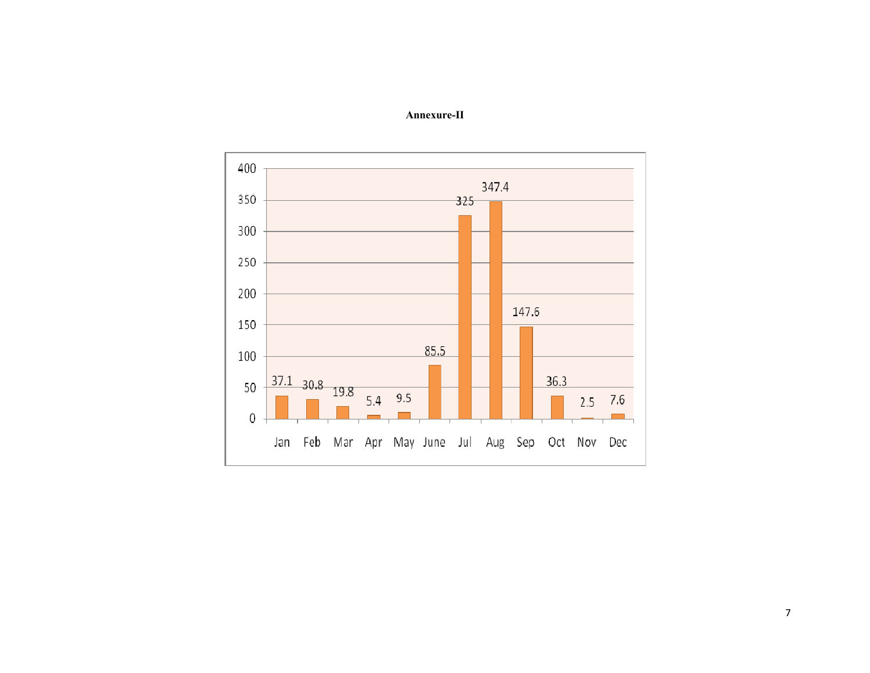

### Annexure-II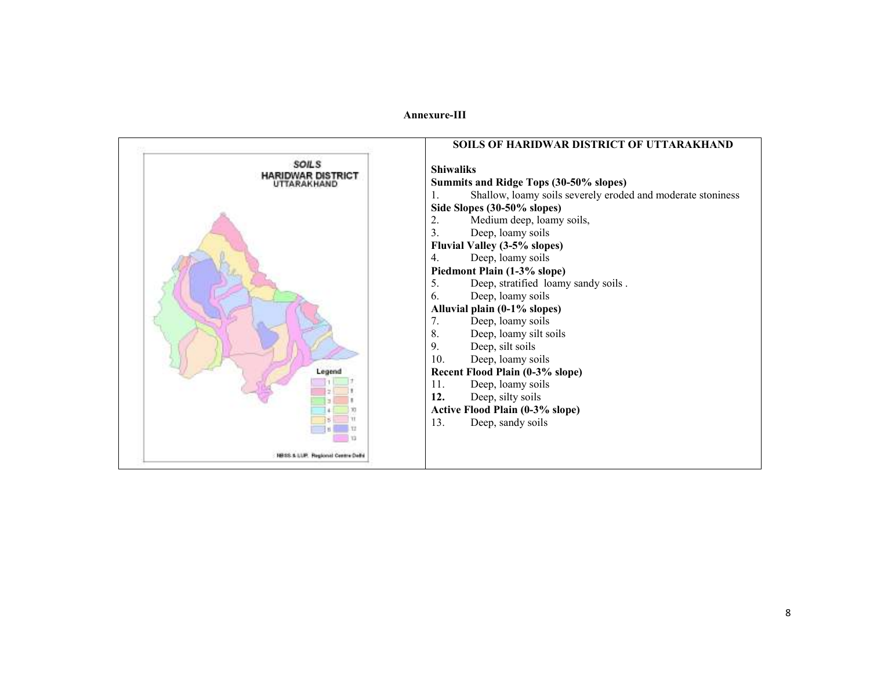#### Annexure-III

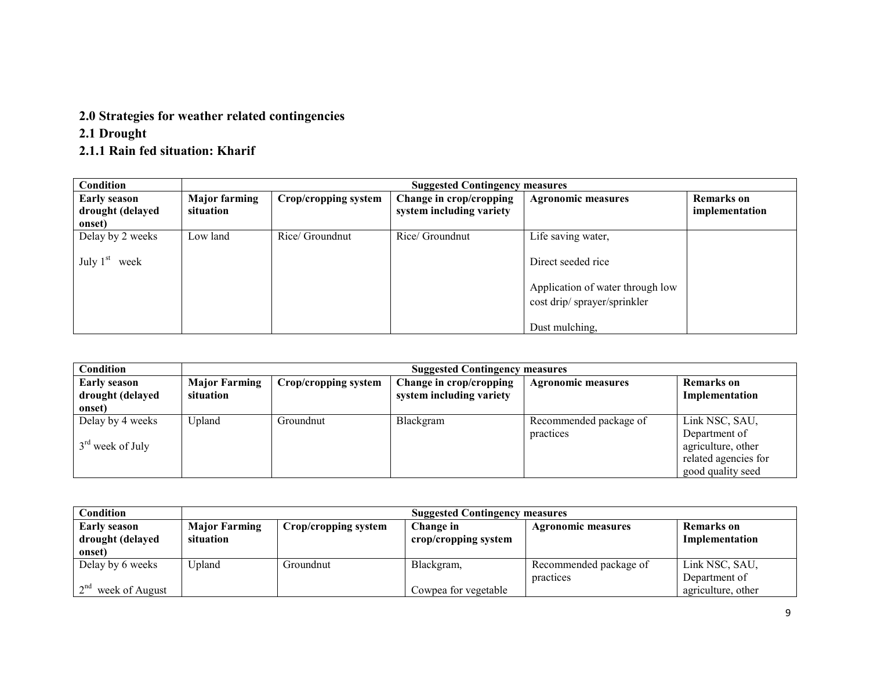## 2.0 Strategies for weather related contingencies

### 2.1 Drought

### 2.1.1 Rain fed situation: Kharif

| Condition                                         | <b>Suggested Contingency measures</b> |                      |                                                     |                                                                 |                                     |  |
|---------------------------------------------------|---------------------------------------|----------------------|-----------------------------------------------------|-----------------------------------------------------------------|-------------------------------------|--|
| <b>Early season</b><br>drought (delayed<br>onset) | <b>Major farming</b><br>situation     | Crop/cropping system | Change in crop/cropping<br>system including variety | <b>Agronomic measures</b>                                       | <b>Remarks</b> on<br>implementation |  |
| Delay by 2 weeks                                  | Low land                              | Rice/ Groundnut      | Rice/ Groundnut                                     | Life saving water,                                              |                                     |  |
| July $1st$<br>week                                |                                       |                      |                                                     | Direct seeded rice                                              |                                     |  |
|                                                   |                                       |                      |                                                     | Application of water through low<br>cost drip/sprayer/sprinkler |                                     |  |
|                                                   |                                       |                      |                                                     | Dust mulching,                                                  |                                     |  |

| <b>Condition</b>    | <b>Suggested Contingency measures</b> |                      |                          |                           |                      |  |  |
|---------------------|---------------------------------------|----------------------|--------------------------|---------------------------|----------------------|--|--|
| <b>Early season</b> | <b>Major Farming</b>                  | Crop/cropping system | Change in crop/cropping  | <b>Agronomic measures</b> | Remarks on           |  |  |
| drought (delayed    | situation                             |                      | system including variety |                           | Implementation       |  |  |
| onset)              |                                       |                      |                          |                           |                      |  |  |
| Delay by 4 weeks    | Upland                                | Groundnut            | Blackgram                | Recommended package of    | Link NSC, SAU,       |  |  |
|                     |                                       |                      |                          | practices                 | Department of        |  |  |
| $3rd$ week of July  |                                       |                      |                          |                           | agriculture, other   |  |  |
|                     |                                       |                      |                          |                           | related agencies for |  |  |
|                     |                                       |                      |                          |                           | good quality seed    |  |  |

| Condition           | <b>Suggested Contingency measures</b> |                      |                      |                        |                    |  |  |
|---------------------|---------------------------------------|----------------------|----------------------|------------------------|--------------------|--|--|
| <b>Early season</b> | <b>Major Farming</b>                  | Crop/cropping system | Change in            | Agronomic measures     | Remarks on         |  |  |
| drought (delayed    | situation                             |                      | crop/cropping system |                        | Implementation     |  |  |
| onset)              |                                       |                      |                      |                        |                    |  |  |
| Delay by 6 weeks    | Upland                                | Groundnut            | Blackgram,           | Recommended package of | Link NSC, SAU,     |  |  |
|                     |                                       |                      |                      | practices              | Department of      |  |  |
| week of August      |                                       |                      | Cowpea for vegetable |                        | agriculture, other |  |  |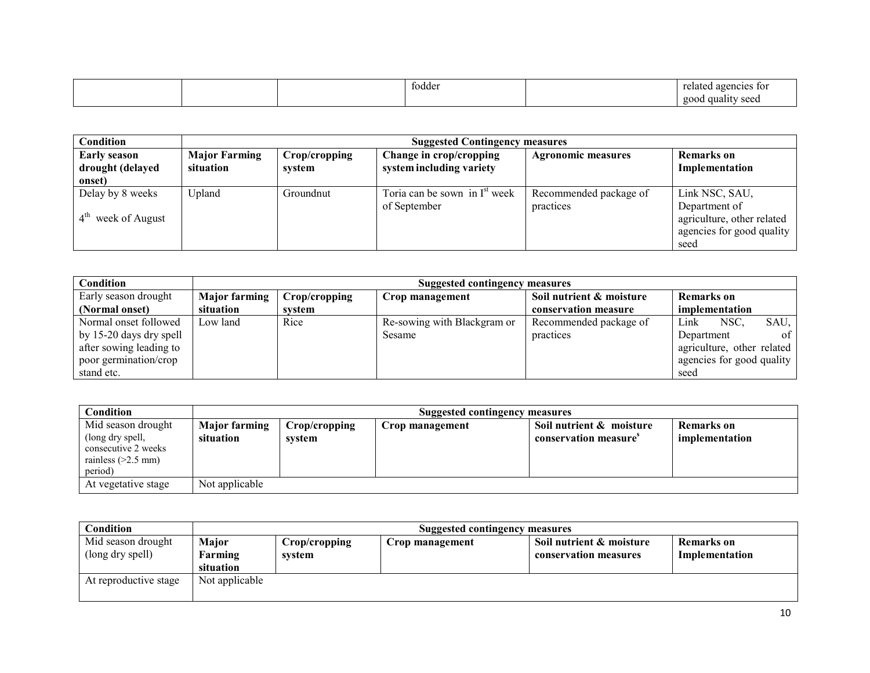|  | todder | related agencies<br>+ ^<br>-- |
|--|--------|-------------------------------|
|  |        | good<br>guality seed          |

| Condition                         | <b>Suggested Contingency measures</b> |               |                                           |                           |                            |  |  |
|-----------------------------------|---------------------------------------|---------------|-------------------------------------------|---------------------------|----------------------------|--|--|
| <b>Early season</b>               | <b>Major Farming</b>                  | Crop/cropping | Change in crop/cropping                   | <b>Agronomic measures</b> | <b>Remarks</b> on          |  |  |
| drought (delayed                  | situation                             | svstem        | system including variety                  |                           | Implementation             |  |  |
| onset)                            |                                       |               |                                           |                           |                            |  |  |
| Delay by 8 weeks                  | Upland                                | Groundnut     | Toria can be sown in I <sup>st</sup> week | Recommended package of    | Link NSC, SAU,             |  |  |
|                                   |                                       |               | of September                              | practices                 | Department of              |  |  |
| $4^{\text{th}}$<br>week of August |                                       |               |                                           |                           | agriculture, other related |  |  |
|                                   |                                       |               |                                           |                           | agencies for good quality  |  |  |
|                                   |                                       |               |                                           |                           | seed                       |  |  |

| Condition               | Suggested contingency measures |               |                             |                          |                             |  |  |
|-------------------------|--------------------------------|---------------|-----------------------------|--------------------------|-----------------------------|--|--|
| Early season drought    | <b>Major farming</b>           | Crop/cropping | Crop management             | Soil nutrient & moisture | <b>Remarks</b> on           |  |  |
| (Normal onset)          | situation                      | system        |                             | conservation measure     | implementation              |  |  |
| Normal onset followed   | Low land                       | Rice          | Re-sowing with Blackgram or | Recommended package of   | NSC.<br>SAU.<br>Link        |  |  |
| by 15-20 days dry spell |                                |               | Sesame                      | practices                | Department<br><sup>ot</sup> |  |  |
| after sowing leading to |                                |               |                             |                          | agriculture, other related  |  |  |
| poor germination/crop   |                                |               |                             |                          | agencies for good quality   |  |  |
| stand etc.              |                                |               |                             |                          | seed                        |  |  |

| Condition                                                                                        | Suggested contingency measures    |                         |                 |                                                               |                                     |  |
|--------------------------------------------------------------------------------------------------|-----------------------------------|-------------------------|-----------------|---------------------------------------------------------------|-------------------------------------|--|
| Mid season drought<br>(long dry spell,<br>consecutive 2 weeks<br>rainless $(>2.5$ mm)<br>period) | <b>Major farming</b><br>situation | Crop/cropping<br>system | Crop management | Soil nutrient & moisture<br>conservation measure <sup>s</sup> | <b>Remarks</b> on<br>implementation |  |
| At vegetative stage                                                                              | Not applicable                    |                         |                 |                                                               |                                     |  |

| Condition                              | <b>Suggested contingency measures</b> |                         |                 |                                                   |                              |
|----------------------------------------|---------------------------------------|-------------------------|-----------------|---------------------------------------------------|------------------------------|
| Mid season drought<br>(long dry spell) | Major<br>Farming                      | Crop/cropping<br>system | Crop management | Soil nutrient & moisture<br>conservation measures | Remarks on<br>Implementation |
|                                        | situation                             |                         |                 |                                                   |                              |
| At reproductive stage                  | Not applicable                        |                         |                 |                                                   |                              |
|                                        |                                       |                         |                 |                                                   |                              |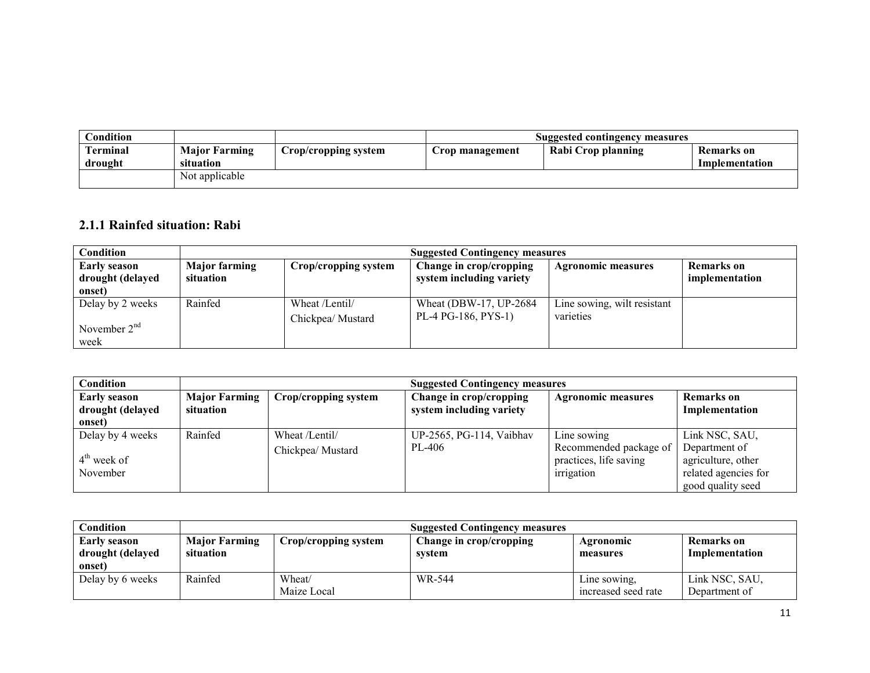| $\cap$ ondition |                      |                      | Suggested contingency measures |                    |                   |  |
|-----------------|----------------------|----------------------|--------------------------------|--------------------|-------------------|--|
| Terminal        | <b>Major Farming</b> | Crop/cropping system | Crop management                | Rabi Crop planning | <b>Remarks</b> on |  |
| drought         | situation            |                      |                                |                    | Implementation    |  |
|                 | Not applicable       |                      |                                |                    |                   |  |

### 2.1.1 Rainfed situation: Rabi

| Condition                                         | <b>Suggested Contingency measures</b> |                                    |                                                     |                                          |                                     |  |  |
|---------------------------------------------------|---------------------------------------|------------------------------------|-----------------------------------------------------|------------------------------------------|-------------------------------------|--|--|
| <b>Early season</b><br>drought (delayed<br>onset) | <b>Major farming</b><br>situation     | Crop/cropping system               | Change in crop/cropping<br>system including variety | <b>Agronomic measures</b>                | <b>Remarks</b> on<br>implementation |  |  |
| Delay by 2 weeks<br>November $2nd$<br>week        | Rainfed                               | Wheat /Lentil/<br>Chickpea/Mustard | Wheat (DBW-17, UP-2684)<br>PL-4 PG-186, PYS-1)      | Line sowing, wilt resistant<br>varieties |                                     |  |  |

| <b>Condition</b>    | <b>Suggested Contingency measures</b> |                      |                          |                           |                      |  |  |
|---------------------|---------------------------------------|----------------------|--------------------------|---------------------------|----------------------|--|--|
| <b>Early season</b> | <b>Major Farming</b>                  | Crop/cropping system | Change in crop/cropping  | <b>Agronomic measures</b> | Remarks on           |  |  |
| drought (delayed    | situation                             |                      | system including variety |                           | Implementation       |  |  |
| onset)              |                                       |                      |                          |                           |                      |  |  |
| Delay by 4 weeks    | Rainfed                               | Wheat /Lentil/       | UP-2565, PG-114, Vaibhav | Line sowing               | Link NSC, SAU,       |  |  |
|                     |                                       | Chickpea/ Mustard    | PL-406                   | Recommended package of    | Department of        |  |  |
| $4th$ week of       |                                       |                      |                          | practices, life saving    | agriculture, other   |  |  |
| November            |                                       |                      |                          | irrigation                | related agencies for |  |  |
|                     |                                       |                      |                          |                           | good quality seed    |  |  |

| Condition                                  | <b>Suggested Contingency measures</b> |                       |                                   |                                     |                                 |
|--------------------------------------------|---------------------------------------|-----------------------|-----------------------------------|-------------------------------------|---------------------------------|
| Early season<br>drought (delayed<br>onset) | <b>Major Farming</b><br>situation     | Crop/cropping system  | Change in crop/cropping<br>svstem | Agronomic<br>measures               | Remarks on<br>Implementation    |
| Delay by 6 weeks                           | Rainfed                               | Wheat/<br>Maize Local | WR-544                            | Line sowing.<br>increased seed rate | Link NSC, SAU,<br>Department of |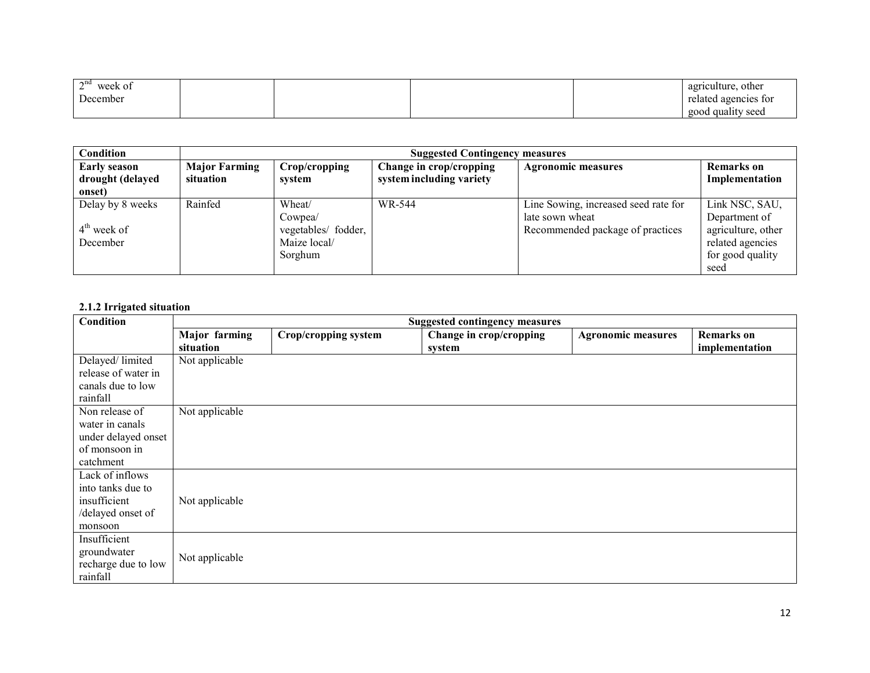| $\sim$ nd<br>week of<br>∸ |  |  | agriculture,<br>other |
|---------------------------|--|--|-----------------------|
| December                  |  |  | related agencies for  |
|                           |  |  | good quality seed     |

| Condition                               |                                   | <b>Suggested Contingency measures</b> |                                                     |                                      |                                     |  |  |
|-----------------------------------------|-----------------------------------|---------------------------------------|-----------------------------------------------------|--------------------------------------|-------------------------------------|--|--|
| <b>Early season</b><br>drought (delayed | <b>Major Farming</b><br>situation | Crop/cropping<br>system               | Change in crop/cropping<br>system including variety | <b>Agronomic measures</b>            | <b>Remarks</b> on<br>Implementation |  |  |
| onset)                                  |                                   |                                       |                                                     |                                      |                                     |  |  |
| Delay by 8 weeks                        | Rainfed                           | Wheat/                                | WR-544                                              | Line Sowing, increased seed rate for | Link NSC, SAU,                      |  |  |
|                                         |                                   | Cowpea/                               |                                                     | late sown wheat                      | Department of                       |  |  |
| $4th$ week of                           |                                   | vegetables/ fodder,                   |                                                     | Recommended package of practices     | agriculture, other                  |  |  |
| December                                |                                   | Maize local/                          |                                                     |                                      | related agencies                    |  |  |
|                                         |                                   | Sorghum                               |                                                     |                                      | for good quality                    |  |  |
|                                         |                                   |                                       |                                                     |                                      | seed                                |  |  |

### 2.1.2 Irrigated situation

| Condition           | <b>Suggested contingency measures</b> |                      |                         |                           |                   |
|---------------------|---------------------------------------|----------------------|-------------------------|---------------------------|-------------------|
|                     | Major farming                         | Crop/cropping system | Change in crop/cropping | <b>Agronomic measures</b> | <b>Remarks</b> on |
|                     | situation                             |                      | system                  |                           | implementation    |
| Delayed/limited     | Not applicable                        |                      |                         |                           |                   |
| release of water in |                                       |                      |                         |                           |                   |
| canals due to low   |                                       |                      |                         |                           |                   |
| rainfall            |                                       |                      |                         |                           |                   |
| Non release of      | Not applicable                        |                      |                         |                           |                   |
| water in canals     |                                       |                      |                         |                           |                   |
| under delayed onset |                                       |                      |                         |                           |                   |
| of monsoon in       |                                       |                      |                         |                           |                   |
| catchment           |                                       |                      |                         |                           |                   |
| Lack of inflows     |                                       |                      |                         |                           |                   |
| into tanks due to   |                                       |                      |                         |                           |                   |
| insufficient        | Not applicable                        |                      |                         |                           |                   |
| /delayed onset of   |                                       |                      |                         |                           |                   |
| monsoon             |                                       |                      |                         |                           |                   |
| Insufficient        |                                       |                      |                         |                           |                   |
| groundwater         | Not applicable                        |                      |                         |                           |                   |
| recharge due to low |                                       |                      |                         |                           |                   |
| rainfall            |                                       |                      |                         |                           |                   |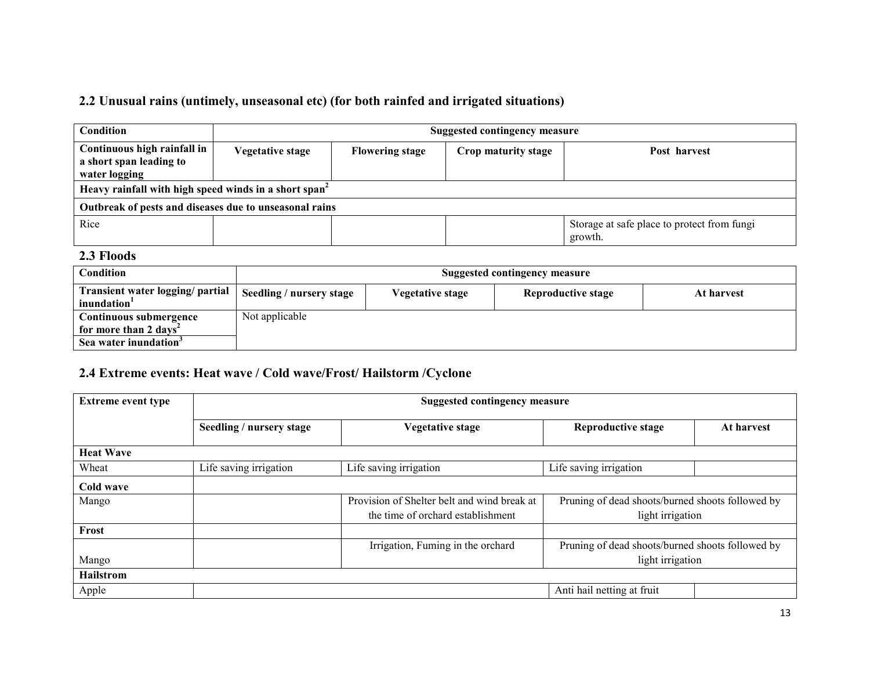### 2.2 Unusual rains (untimely, unseasonal etc) (for both rainfed and irrigated situations)

| Condition                                                               | Suggested contingency measure |                        |                     |                                                        |  |  |  |
|-------------------------------------------------------------------------|-------------------------------|------------------------|---------------------|--------------------------------------------------------|--|--|--|
| Continuous high rainfall in<br>a short span leading to<br>water logging | <b>Vegetative stage</b>       | <b>Flowering stage</b> | Crop maturity stage | Post harvest                                           |  |  |  |
| Heavy rainfall with high speed winds in a short span <sup>2</sup>       |                               |                        |                     |                                                        |  |  |  |
| Outbreak of pests and diseases due to unseasonal rains                  |                               |                        |                     |                                                        |  |  |  |
| Rice                                                                    |                               |                        |                     | Storage at safe place to protect from fungi<br>growth. |  |  |  |

### 2.3 Floods

| Condition                                                   | Suggested contingency measure |                  |                    |            |  |  |  |
|-------------------------------------------------------------|-------------------------------|------------------|--------------------|------------|--|--|--|
| Transient water logging/ partial<br>inundation <sup>1</sup> | Seedling / nursery stage      | Vegetative stage | Reproductive stage | At harvest |  |  |  |
| Continuous submergence                                      | Not applicable                |                  |                    |            |  |  |  |
| for more than 2 days <sup>2</sup>                           |                               |                  |                    |            |  |  |  |
| Sea water inundation <sup>3</sup>                           |                               |                  |                    |            |  |  |  |

### 2.4 Extreme events: Heat wave / Cold wave/Frost/ Hailstorm /Cyclone

| <b>Extreme event type</b> | <b>Suggested contingency measure</b> |                                                                                  |                                                                      |            |  |  |  |
|---------------------------|--------------------------------------|----------------------------------------------------------------------------------|----------------------------------------------------------------------|------------|--|--|--|
|                           | Seedling / nursery stage             | <b>Vegetative stage</b>                                                          | <b>Reproductive stage</b>                                            | At harvest |  |  |  |
| <b>Heat Wave</b>          |                                      |                                                                                  |                                                                      |            |  |  |  |
| Wheat                     | Life saving irrigation               | Life saving irrigation                                                           | Life saving irrigation                                               |            |  |  |  |
| Cold wave                 |                                      |                                                                                  |                                                                      |            |  |  |  |
| Mango                     |                                      | Provision of Shelter belt and wind break at<br>the time of orchard establishment | Pruning of dead shoots/burned shoots followed by<br>light irrigation |            |  |  |  |
| Frost                     |                                      |                                                                                  |                                                                      |            |  |  |  |
|                           |                                      | Irrigation, Fuming in the orchard                                                | Pruning of dead shoots/burned shoots followed by                     |            |  |  |  |
| Mango                     |                                      |                                                                                  | light irrigation                                                     |            |  |  |  |
| Hailstrom                 |                                      |                                                                                  |                                                                      |            |  |  |  |
| Apple                     |                                      |                                                                                  | Anti hail netting at fruit                                           |            |  |  |  |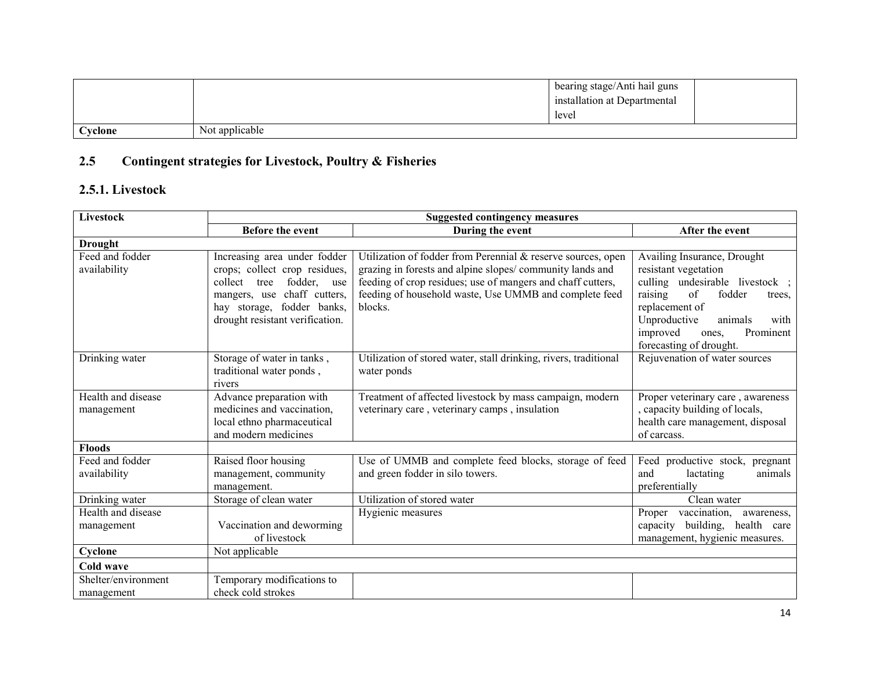|                 |                | bearing stage/Anti hail guns |  |
|-----------------|----------------|------------------------------|--|
|                 |                | installation at Departmental |  |
|                 |                | level                        |  |
| $\alpha$ vclone | Not applicable |                              |  |

### 2.5 Contingent strategies for Livestock, Poultry & Fisheries

### 2.5.1. Livestock

| Livestock                         | <b>Suggested contingency measures</b>                                                                                                                                                              |                                                                                                                                                                                                                                                              |                                                                                                                                                                                                                                              |
|-----------------------------------|----------------------------------------------------------------------------------------------------------------------------------------------------------------------------------------------------|--------------------------------------------------------------------------------------------------------------------------------------------------------------------------------------------------------------------------------------------------------------|----------------------------------------------------------------------------------------------------------------------------------------------------------------------------------------------------------------------------------------------|
|                                   | <b>Before the event</b>                                                                                                                                                                            | During the event                                                                                                                                                                                                                                             | After the event                                                                                                                                                                                                                              |
| <b>Drought</b>                    |                                                                                                                                                                                                    |                                                                                                                                                                                                                                                              |                                                                                                                                                                                                                                              |
| Feed and fodder<br>availability   | Increasing area under fodder<br>crops; collect crop residues,<br>collect<br>tree<br>fodder, use<br>chaff cutters,<br>mangers, use<br>hay storage, fodder banks,<br>drought resistant verification. | Utilization of fodder from Perennial & reserve sources, open<br>grazing in forests and alpine slopes/community lands and<br>feeding of crop residues; use of mangers and chaff cutters,<br>feeding of household waste, Use UMMB and complete feed<br>blocks. | Availing Insurance, Drought<br>resistant vegetation<br>culling undesirable livestock;<br>raising<br>of<br>fodder<br>trees.<br>replacement of<br>Unproductive<br>animals<br>with<br>improved<br>Prominent<br>ones.<br>forecasting of drought. |
| Drinking water                    | Storage of water in tanks,<br>traditional water ponds,<br>rivers                                                                                                                                   | Utilization of stored water, stall drinking, rivers, traditional<br>water ponds                                                                                                                                                                              | Rejuvenation of water sources                                                                                                                                                                                                                |
| Health and disease<br>management  | Advance preparation with<br>medicines and vaccination,<br>local ethno pharmaceutical<br>and modern medicines                                                                                       | Treatment of affected livestock by mass campaign, modern<br>veterinary care, veterinary camps, insulation                                                                                                                                                    | Proper veterinary care, awareness<br>, capacity building of locals,<br>health care management, disposal<br>of carcass.                                                                                                                       |
| <b>Floods</b>                     |                                                                                                                                                                                                    |                                                                                                                                                                                                                                                              |                                                                                                                                                                                                                                              |
| Feed and fodder<br>availability   | Raised floor housing<br>management, community<br>management.                                                                                                                                       | Use of UMMB and complete feed blocks, storage of feed<br>and green fodder in silo towers.                                                                                                                                                                    | Feed productive stock,<br>pregnant<br>animals<br>and<br>lactating<br>preferentially                                                                                                                                                          |
| Drinking water                    | Storage of clean water                                                                                                                                                                             | Utilization of stored water                                                                                                                                                                                                                                  | Clean water                                                                                                                                                                                                                                  |
| Health and disease<br>management  | Vaccination and deworming<br>of livestock                                                                                                                                                          | Hygienic measures                                                                                                                                                                                                                                            | Proper<br>vaccination,<br>awareness,<br>building, health care<br>capacity<br>management, hygienic measures.                                                                                                                                  |
| Cyclone                           | Not applicable                                                                                                                                                                                     |                                                                                                                                                                                                                                                              |                                                                                                                                                                                                                                              |
| Cold wave                         |                                                                                                                                                                                                    |                                                                                                                                                                                                                                                              |                                                                                                                                                                                                                                              |
| Shelter/environment<br>management | Temporary modifications to<br>check cold strokes                                                                                                                                                   |                                                                                                                                                                                                                                                              |                                                                                                                                                                                                                                              |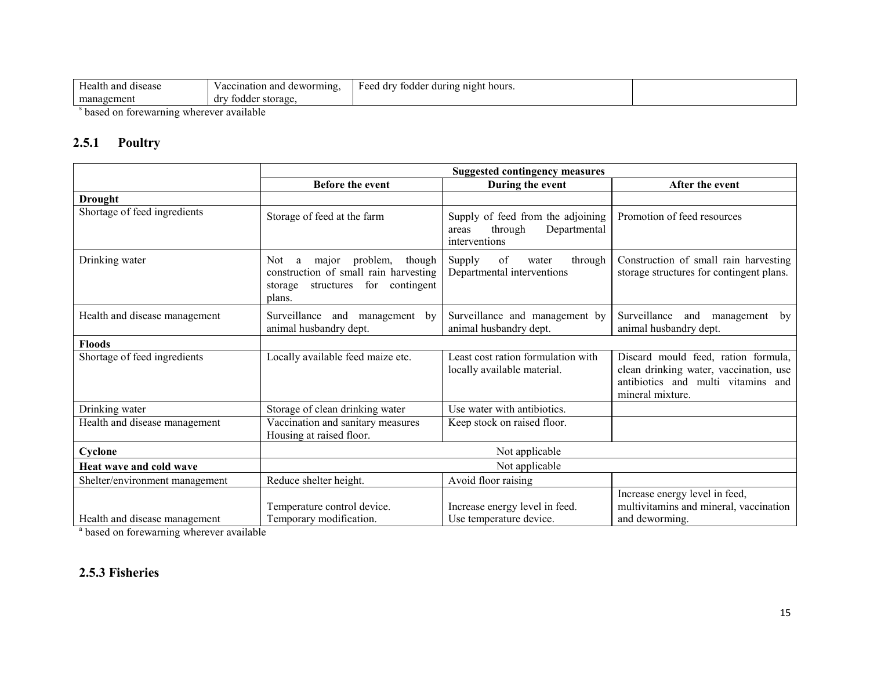| $-$<br>Health and disease | i deworming.<br>Vaccination and C   | ' during night hours.<br>Feed drv<br>fodder |  |
|---------------------------|-------------------------------------|---------------------------------------------|--|
| management                | <sup>7</sup> fodder storage.<br>dry |                                             |  |
|                           |                                     |                                             |  |

based on forewarning wherever available

#### 2.5.1Poultry

|                                | <b>Suggested contingency measures</b>                                                                                              |                                                                                        |                                                                                                                                         |
|--------------------------------|------------------------------------------------------------------------------------------------------------------------------------|----------------------------------------------------------------------------------------|-----------------------------------------------------------------------------------------------------------------------------------------|
|                                | <b>Before the event</b>                                                                                                            | During the event                                                                       | After the event                                                                                                                         |
| <b>Drought</b>                 |                                                                                                                                    |                                                                                        |                                                                                                                                         |
| Shortage of feed ingredients   | Storage of feed at the farm                                                                                                        | Supply of feed from the adjoining<br>Departmental<br>through<br>areas<br>interventions | Promotion of feed resources                                                                                                             |
| Drinking water                 | problem,<br>though<br>major<br>Not<br>a<br>construction of small rain harvesting<br>structures for contingent<br>storage<br>plans. | of<br>through<br>Supply<br>water<br>Departmental interventions                         | Construction of small rain harvesting<br>storage structures for contingent plans.                                                       |
| Health and disease management  | Surveillance<br>and<br>management by<br>animal husbandry dept.                                                                     | Surveillance and management by<br>animal husbandry dept.                               | Surveillance and<br>management by<br>animal husbandry dept.                                                                             |
| <b>Floods</b>                  |                                                                                                                                    |                                                                                        |                                                                                                                                         |
| Shortage of feed ingredients   | Locally available feed maize etc.                                                                                                  | Least cost ration formulation with<br>locally available material.                      | Discard mould feed, ration formula,<br>clean drinking water, vaccination, use<br>antibiotics and multi vitamins and<br>mineral mixture. |
| Drinking water                 | Storage of clean drinking water                                                                                                    | Use water with antibiotics.                                                            |                                                                                                                                         |
| Health and disease management  | Vaccination and sanitary measures<br>Housing at raised floor.                                                                      | Keep stock on raised floor.                                                            |                                                                                                                                         |
| Cyclone                        | Not applicable                                                                                                                     |                                                                                        |                                                                                                                                         |
| Heat wave and cold wave        | Not applicable                                                                                                                     |                                                                                        |                                                                                                                                         |
| Shelter/environment management | Reduce shelter height.                                                                                                             | Avoid floor raising                                                                    |                                                                                                                                         |
| Health and disease management  | Temperature control device.<br>Temporary modification.                                                                             | Increase energy level in feed.<br>Use temperature device.                              | Increase energy level in feed,<br>multivitamins and mineral, vaccination<br>and deworming.                                              |

<sup>a</sup> based on forewarning wherever available

### 2.5.3 Fisheries